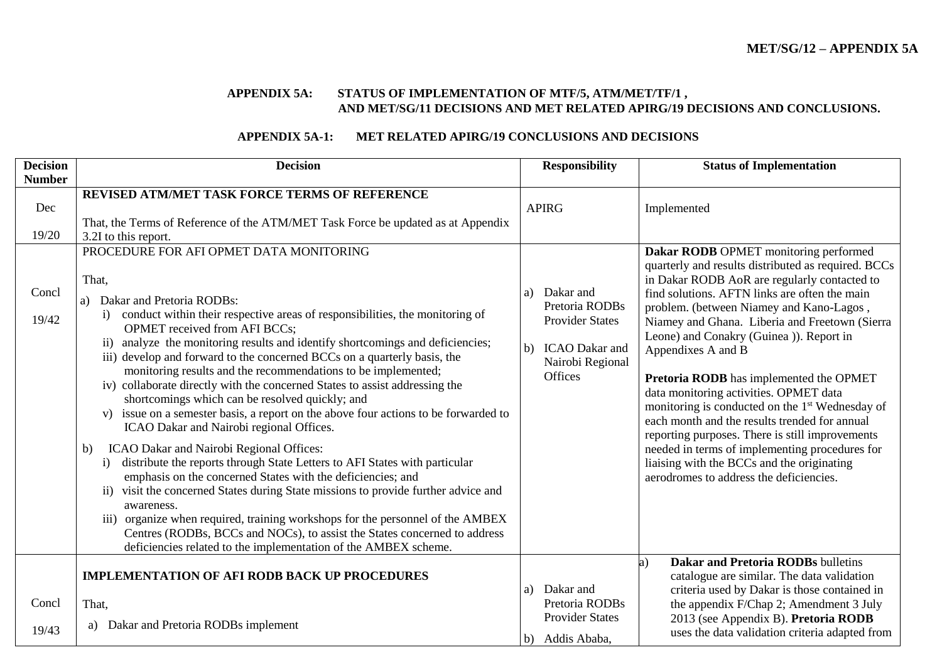#### **APPENDIX 5A: STATUS OF IMPLEMENTATION OF MTF/5, ATM/MET/TF/1 , AND MET/SG/11 DECISIONS AND MET RELATED APIRG/19 DECISIONS AND CONCLUSIONS.**

### **APPENDIX 5A-1: MET RELATED APIRG/19 CONCLUSIONS AND DECISIONS**

| <b>Decision</b> | <b>Decision</b>                                                                                                                                                                                                                                                                                                                                                                                                                                                                                                                                                                                                                                                                                                                                                                                                                                                                                                                                                                                                                                                                                                                                                                                                                                                                                   | <b>Responsibility</b>                                                                                                     | <b>Status of Implementation</b>                                                                                                                                                                                                                                                                                                                                                                                                                                                                                                                                                                                                                                                                                                                                  |
|-----------------|---------------------------------------------------------------------------------------------------------------------------------------------------------------------------------------------------------------------------------------------------------------------------------------------------------------------------------------------------------------------------------------------------------------------------------------------------------------------------------------------------------------------------------------------------------------------------------------------------------------------------------------------------------------------------------------------------------------------------------------------------------------------------------------------------------------------------------------------------------------------------------------------------------------------------------------------------------------------------------------------------------------------------------------------------------------------------------------------------------------------------------------------------------------------------------------------------------------------------------------------------------------------------------------------------|---------------------------------------------------------------------------------------------------------------------------|------------------------------------------------------------------------------------------------------------------------------------------------------------------------------------------------------------------------------------------------------------------------------------------------------------------------------------------------------------------------------------------------------------------------------------------------------------------------------------------------------------------------------------------------------------------------------------------------------------------------------------------------------------------------------------------------------------------------------------------------------------------|
| <b>Number</b>   |                                                                                                                                                                                                                                                                                                                                                                                                                                                                                                                                                                                                                                                                                                                                                                                                                                                                                                                                                                                                                                                                                                                                                                                                                                                                                                   |                                                                                                                           |                                                                                                                                                                                                                                                                                                                                                                                                                                                                                                                                                                                                                                                                                                                                                                  |
| Dec<br>19/20    | REVISED ATM/MET TASK FORCE TERMS OF REFERENCE<br>That, the Terms of Reference of the ATM/MET Task Force be updated as at Appendix<br>3.2I to this report.                                                                                                                                                                                                                                                                                                                                                                                                                                                                                                                                                                                                                                                                                                                                                                                                                                                                                                                                                                                                                                                                                                                                         | <b>APIRG</b>                                                                                                              | Implemented                                                                                                                                                                                                                                                                                                                                                                                                                                                                                                                                                                                                                                                                                                                                                      |
| Concl<br>19/42  | PROCEDURE FOR AFI OPMET DATA MONITORING<br>That,<br>Dakar and Pretoria RODBs:<br>conduct within their respective areas of responsibilities, the monitoring of<br>$\mathbf{i}$<br><b>OPMET</b> received from AFI BCCs;<br>analyze the monitoring results and identify shortcomings and deficiencies;<br>$\mathbf{ii}$<br>iii) develop and forward to the concerned BCCs on a quarterly basis, the<br>monitoring results and the recommendations to be implemented;<br>iv) collaborate directly with the concerned States to assist addressing the<br>shortcomings which can be resolved quickly; and<br>issue on a semester basis, a report on the above four actions to be forwarded to<br>V)<br>ICAO Dakar and Nairobi regional Offices.<br>ICAO Dakar and Nairobi Regional Offices:<br>b)<br>distribute the reports through State Letters to AFI States with particular<br>i)<br>emphasis on the concerned States with the deficiencies; and<br>visit the concerned States during State missions to provide further advice and<br>$\mathbf{ii}$<br>awareness.<br>iii) organize when required, training workshops for the personnel of the AMBEX<br>Centres (RODBs, BCCs and NOCs), to assist the States concerned to address<br>deficiencies related to the implementation of the AMBEX scheme. | Dakar and<br>a)<br>Pretoria RODBs<br><b>Provider States</b><br>ICAO Dakar and<br>b)<br>Nairobi Regional<br><b>Offices</b> | Dakar RODB OPMET monitoring performed<br>quarterly and results distributed as required. BCCs<br>in Dakar RODB AoR are regularly contacted to<br>find solutions. AFTN links are often the main<br>problem. (between Niamey and Kano-Lagos,<br>Niamey and Ghana. Liberia and Freetown (Sierra<br>Leone) and Conakry (Guinea )). Report in<br>Appendixes A and B<br>Pretoria RODB has implemented the OPMET<br>data monitoring activities. OPMET data<br>monitoring is conducted on the 1 <sup>st</sup> Wednesday of<br>each month and the results trended for annual<br>reporting purposes. There is still improvements<br>needed in terms of implementing procedures for<br>liaising with the BCCs and the originating<br>aerodromes to address the deficiencies. |
|                 | <b>IMPLEMENTATION OF AFI RODB BACK UP PROCEDURES</b>                                                                                                                                                                                                                                                                                                                                                                                                                                                                                                                                                                                                                                                                                                                                                                                                                                                                                                                                                                                                                                                                                                                                                                                                                                              |                                                                                                                           | Dakar and Pretoria RODBs bulletins<br>a)<br>catalogue are similar. The data validation                                                                                                                                                                                                                                                                                                                                                                                                                                                                                                                                                                                                                                                                           |
| Concl           | That,                                                                                                                                                                                                                                                                                                                                                                                                                                                                                                                                                                                                                                                                                                                                                                                                                                                                                                                                                                                                                                                                                                                                                                                                                                                                                             | Dakar and<br>a)<br>Pretoria RODBs<br><b>Provider States</b>                                                               | criteria used by Dakar is those contained in<br>the appendix F/Chap 2; Amendment 3 July                                                                                                                                                                                                                                                                                                                                                                                                                                                                                                                                                                                                                                                                          |
| 19/43           | Dakar and Pretoria RODBs implement<br>a)                                                                                                                                                                                                                                                                                                                                                                                                                                                                                                                                                                                                                                                                                                                                                                                                                                                                                                                                                                                                                                                                                                                                                                                                                                                          | b) Addis Ababa,                                                                                                           | 2013 (see Appendix B). Pretoria RODB<br>uses the data validation criteria adapted from                                                                                                                                                                                                                                                                                                                                                                                                                                                                                                                                                                                                                                                                           |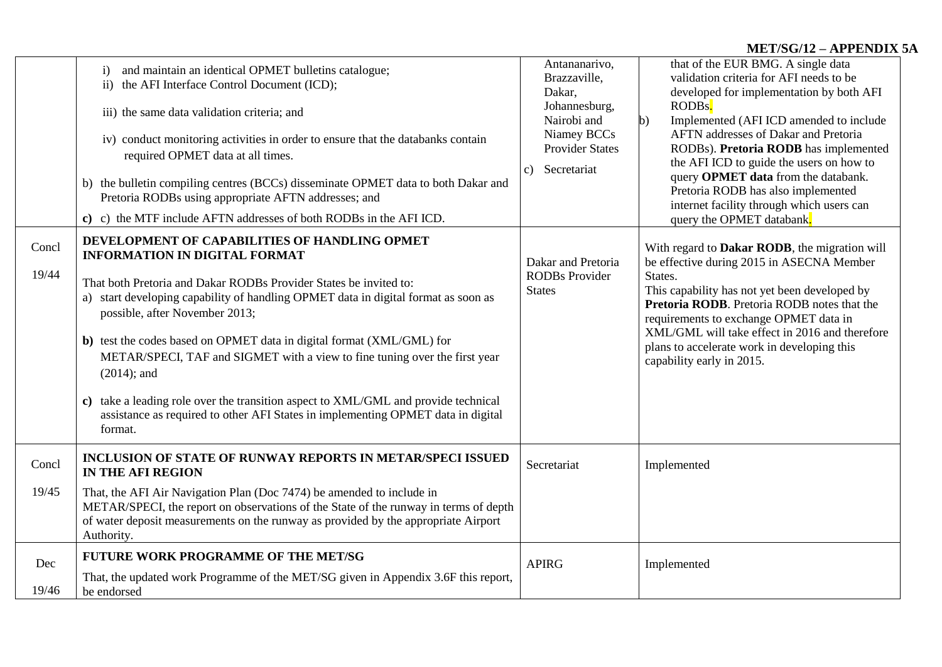## **MET/SG/12 – APPENDIX 5A**

|                | and maintain an identical OPMET bulletins catalogue;<br>$\mathbf{i}$<br>ii) the AFI Interface Control Document (ICD);<br>iii) the same data validation criteria; and<br>iv) conduct monitoring activities in order to ensure that the databanks contain<br>required OPMET data at all times.<br>b) the bulletin compiling centres (BCCs) disseminate OPMET data to both Dakar and<br>Pretoria RODBs using appropriate AFTN addresses; and<br>c) the MTF include AFTN addresses of both RODBs in the AFI ICD.<br>c) | Antananarivo,<br>Brazzaville,<br>Dakar,<br>Johannesburg,<br>Nairobi and<br>Niamey BCCs<br><b>Provider States</b><br>c) Secretariat | that of the EUR BMG. A single data<br>validation criteria for AFI needs to be<br>developed for implementation by both AFI<br>RODBs.<br>Implemented (AFI ICD amended to include<br>$\mathbf{b}$<br>AFTN addresses of Dakar and Pretoria<br>RODBs). Pretoria RODB has implemented<br>the AFI ICD to guide the users on how to<br>query OPMET data from the databank.<br>Pretoria RODB has also implemented<br>internet facility through which users can<br>query the OPMET databank. |
|----------------|--------------------------------------------------------------------------------------------------------------------------------------------------------------------------------------------------------------------------------------------------------------------------------------------------------------------------------------------------------------------------------------------------------------------------------------------------------------------------------------------------------------------|------------------------------------------------------------------------------------------------------------------------------------|------------------------------------------------------------------------------------------------------------------------------------------------------------------------------------------------------------------------------------------------------------------------------------------------------------------------------------------------------------------------------------------------------------------------------------------------------------------------------------|
| Concl<br>19/44 | DEVELOPMENT OF CAPABILITIES OF HANDLING OPMET<br><b>INFORMATION IN DIGITAL FORMAT</b><br>That both Pretoria and Dakar RODBs Provider States be invited to:<br>a) start developing capability of handling OPMET data in digital format as soon as<br>possible, after November 2013;<br>b) test the codes based on OPMET data in digital format (XML/GML) for                                                                                                                                                        | Dakar and Pretoria<br><b>RODBs Provider</b><br><b>States</b>                                                                       | With regard to <b>Dakar RODB</b> , the migration will<br>be effective during 2015 in ASECNA Member<br>States.<br>This capability has not yet been developed by<br>Pretoria RODB. Pretoria RODB notes that the<br>requirements to exchange OPMET data in<br>XML/GML will take effect in 2016 and therefore                                                                                                                                                                          |
|                | METAR/SPECI, TAF and SIGMET with a view to fine tuning over the first year<br>$(2014)$ ; and<br>take a leading role over the transition aspect to XML/GML and provide technical<br>C)<br>assistance as required to other AFI States in implementing OPMET data in digital<br>format.                                                                                                                                                                                                                               |                                                                                                                                    | plans to accelerate work in developing this<br>capability early in 2015.                                                                                                                                                                                                                                                                                                                                                                                                           |
| Concl          | <b>INCLUSION OF STATE OF RUNWAY REPORTS IN METAR/SPECI ISSUED</b><br><b>IN THE AFI REGION</b>                                                                                                                                                                                                                                                                                                                                                                                                                      | Secretariat                                                                                                                        | Implemented                                                                                                                                                                                                                                                                                                                                                                                                                                                                        |
| 19/45          | That, the AFI Air Navigation Plan (Doc 7474) be amended to include in<br>METAR/SPECI, the report on observations of the State of the runway in terms of depth<br>of water deposit measurements on the runway as provided by the appropriate Airport<br>Authority.                                                                                                                                                                                                                                                  |                                                                                                                                    |                                                                                                                                                                                                                                                                                                                                                                                                                                                                                    |
| Dec            | <b>FUTURE WORK PROGRAMME OF THE MET/SG</b>                                                                                                                                                                                                                                                                                                                                                                                                                                                                         | <b>APIRG</b>                                                                                                                       | Implemented                                                                                                                                                                                                                                                                                                                                                                                                                                                                        |
| 19/46          | That, the updated work Programme of the MET/SG given in Appendix 3.6F this report,<br>be endorsed                                                                                                                                                                                                                                                                                                                                                                                                                  |                                                                                                                                    |                                                                                                                                                                                                                                                                                                                                                                                                                                                                                    |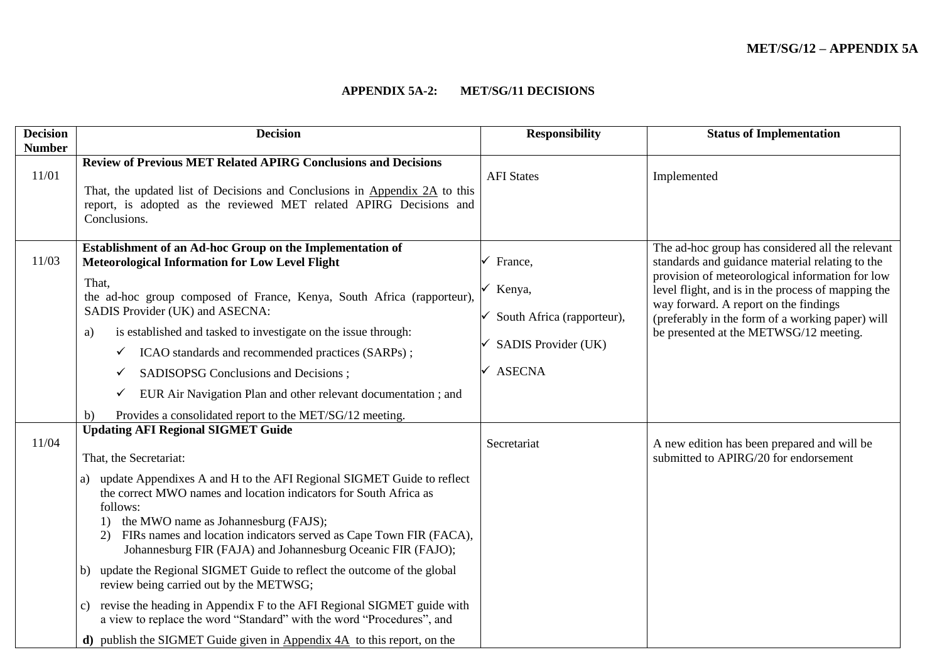### **APPENDIX 5A-2: MET/SG/11 DECISIONS**

| <b>Decision</b> | <b>Decision</b>                                                                                                                                                                                                                                                                                                                                        | <b>Responsibility</b>      | <b>Status of Implementation</b>                                                                                                                |
|-----------------|--------------------------------------------------------------------------------------------------------------------------------------------------------------------------------------------------------------------------------------------------------------------------------------------------------------------------------------------------------|----------------------------|------------------------------------------------------------------------------------------------------------------------------------------------|
| <b>Number</b>   |                                                                                                                                                                                                                                                                                                                                                        |                            |                                                                                                                                                |
|                 | <b>Review of Previous MET Related APIRG Conclusions and Decisions</b>                                                                                                                                                                                                                                                                                  |                            |                                                                                                                                                |
| 11/01           | That, the updated list of Decisions and Conclusions in Appendix 2A to this<br>report, is adopted as the reviewed MET related APIRG Decisions and<br>Conclusions.                                                                                                                                                                                       | <b>AFI</b> States          | Implemented                                                                                                                                    |
|                 |                                                                                                                                                                                                                                                                                                                                                        |                            |                                                                                                                                                |
| 11/03           | Establishment of an Ad-hoc Group on the Implementation of<br><b>Meteorological Information for Low Level Flight</b>                                                                                                                                                                                                                                    | France,                    | The ad-hoc group has considered all the relevant<br>standards and guidance material relating to the                                            |
|                 | That,<br>the ad-hoc group composed of France, Kenya, South Africa (rapporteur),<br>SADIS Provider (UK) and ASECNA:                                                                                                                                                                                                                                     | Kenya,                     | provision of meteorological information for low<br>level flight, and is in the process of mapping the<br>way forward. A report on the findings |
|                 | is established and tasked to investigate on the issue through:                                                                                                                                                                                                                                                                                         | South Africa (rapporteur), | (preferably in the form of a working paper) will                                                                                               |
|                 | a)<br>ICAO standards and recommended practices (SARPs);                                                                                                                                                                                                                                                                                                | SADIS Provider (UK)        | be presented at the METWSG/12 meeting.                                                                                                         |
|                 |                                                                                                                                                                                                                                                                                                                                                        |                            |                                                                                                                                                |
|                 | SADISOPSG Conclusions and Decisions;                                                                                                                                                                                                                                                                                                                   | <b>ASECNA</b>              |                                                                                                                                                |
|                 | EUR Air Navigation Plan and other relevant documentation; and<br>✓                                                                                                                                                                                                                                                                                     |                            |                                                                                                                                                |
|                 | Provides a consolidated report to the MET/SG/12 meeting.<br>b)                                                                                                                                                                                                                                                                                         |                            |                                                                                                                                                |
|                 | <b>Updating AFI Regional SIGMET Guide</b>                                                                                                                                                                                                                                                                                                              |                            |                                                                                                                                                |
| 11/04           | That, the Secretariat:                                                                                                                                                                                                                                                                                                                                 | Secretariat                | A new edition has been prepared and will be<br>submitted to APIRG/20 for endorsement                                                           |
|                 | update Appendixes A and H to the AFI Regional SIGMET Guide to reflect<br>a)<br>the correct MWO names and location indicators for South Africa as<br>follows:<br>the MWO name as Johannesburg (FAJS);<br>1)<br>FIRs names and location indicators served as Cape Town FIR (FACA),<br>2)<br>Johannesburg FIR (FAJA) and Johannesburg Oceanic FIR (FAJO); |                            |                                                                                                                                                |
|                 | update the Regional SIGMET Guide to reflect the outcome of the global<br>b)<br>review being carried out by the METWSG;                                                                                                                                                                                                                                 |                            |                                                                                                                                                |
|                 | revise the heading in Appendix F to the AFI Regional SIGMET guide with<br>c)<br>a view to replace the word "Standard" with the word "Procedures", and                                                                                                                                                                                                  |                            |                                                                                                                                                |
|                 | <b>d</b> ) publish the SIGMET Guide given in Appendix $4A$ to this report, on the                                                                                                                                                                                                                                                                      |                            |                                                                                                                                                |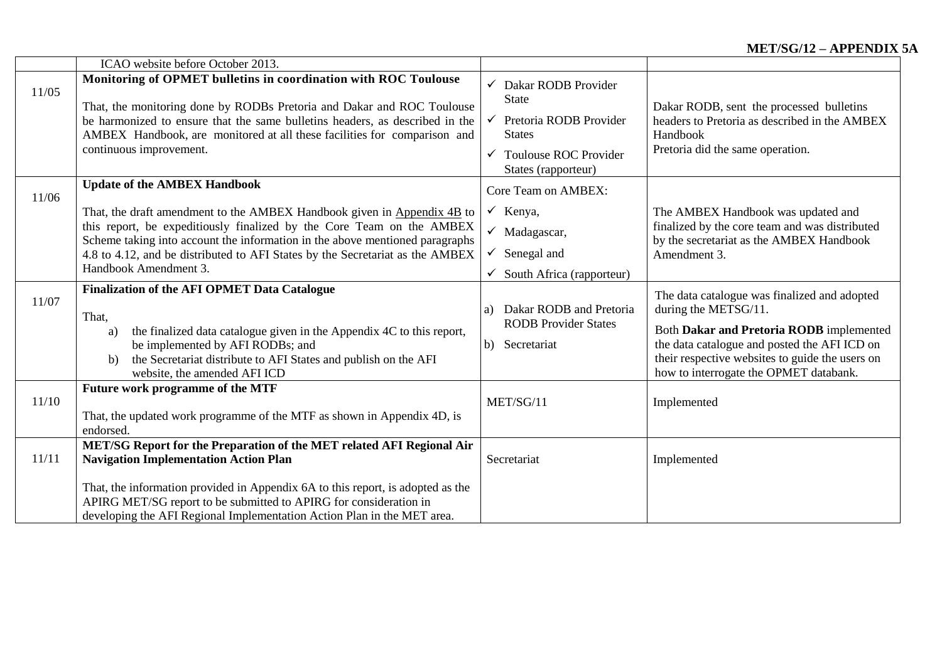# **MET/SG/12 – APPENDIX 5A**

|       | ICAO website before October 2013.                                                                                                                                                                                                                                                                                                                        |                                                                                                                                                                       |                                                                                                                                                                                                                                                               |
|-------|----------------------------------------------------------------------------------------------------------------------------------------------------------------------------------------------------------------------------------------------------------------------------------------------------------------------------------------------------------|-----------------------------------------------------------------------------------------------------------------------------------------------------------------------|---------------------------------------------------------------------------------------------------------------------------------------------------------------------------------------------------------------------------------------------------------------|
| 11/05 | Monitoring of OPMET bulletins in coordination with ROC Toulouse<br>That, the monitoring done by RODBs Pretoria and Dakar and ROC Toulouse<br>be harmonized to ensure that the same bulletins headers, as described in the<br>AMBEX Handbook, are monitored at all these facilities for comparison and<br>continuous improvement.                         | $\checkmark$ Dakar RODB Provider<br><b>State</b><br>$\checkmark$ Pretoria RODB Provider<br><b>States</b><br>$\checkmark$ Toulouse ROC Provider<br>States (rapporteur) | Dakar RODB, sent the processed bulletins<br>headers to Pretoria as described in the AMBEX<br>Handbook<br>Pretoria did the same operation.                                                                                                                     |
| 11/06 | <b>Update of the AMBEX Handbook</b>                                                                                                                                                                                                                                                                                                                      | Core Team on AMBEX:                                                                                                                                                   |                                                                                                                                                                                                                                                               |
|       | That, the draft amendment to the AMBEX Handbook given in Appendix 4B to<br>this report, be expeditiously finalized by the Core Team on the AMBEX<br>Scheme taking into account the information in the above mentioned paragraphs<br>4.8 to 4.12, and be distributed to AFI States by the Secretariat as the AMBEX<br>Handbook Amendment 3.               | $\checkmark$ Kenya,<br>$\checkmark$ Madagascar,<br>$\checkmark$ Senegal and<br>$\checkmark$ South Africa (rapporteur)                                                 | The AMBEX Handbook was updated and<br>finalized by the core team and was distributed<br>by the secretariat as the AMBEX Handbook<br>Amendment 3.                                                                                                              |
| 11/07 | <b>Finalization of the AFI OPMET Data Catalogue</b><br>That,<br>the finalized data catalogue given in the Appendix 4C to this report,<br>a)<br>be implemented by AFI RODBs; and<br>the Secretariat distribute to AFI States and publish on the AFI<br>b)<br>website, the amended AFI ICD                                                                 | Dakar RODB and Pretoria<br>a)<br><b>RODB</b> Provider States<br>b) Secretariat                                                                                        | The data catalogue was finalized and adopted<br>during the METSG/11.<br>Both Dakar and Pretoria RODB implemented<br>the data catalogue and posted the AFI ICD on<br>their respective websites to guide the users on<br>how to interrogate the OPMET databank. |
| 11/10 | Future work programme of the MTF<br>That, the updated work programme of the MTF as shown in Appendix 4D, is<br>endorsed.                                                                                                                                                                                                                                 | MET/SG/11                                                                                                                                                             | Implemented                                                                                                                                                                                                                                                   |
| 11/11 | MET/SG Report for the Preparation of the MET related AFI Regional Air<br><b>Navigation Implementation Action Plan</b><br>That, the information provided in Appendix 6A to this report, is adopted as the<br>APIRG MET/SG report to be submitted to APIRG for consideration in<br>developing the AFI Regional Implementation Action Plan in the MET area. | Secretariat                                                                                                                                                           | Implemented                                                                                                                                                                                                                                                   |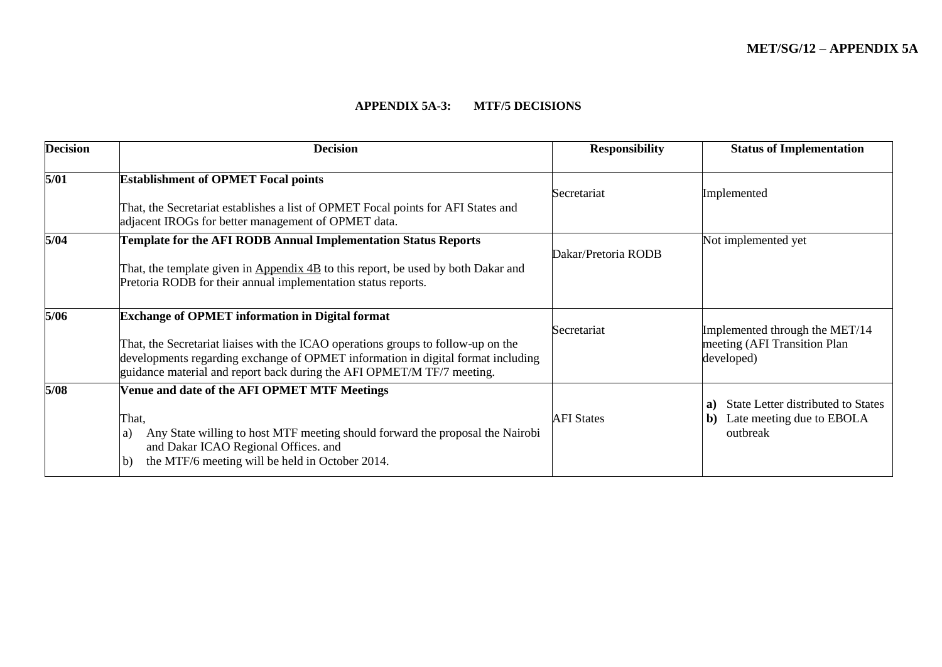### **APPENDIX 5A-3: MTF/5 DECISIONS**

| <b>Decision</b> | <b>Decision</b>                                                                                                                                                                                                                                                                                           | <b>Responsibility</b> | <b>Status of Implementation</b>                                                         |
|-----------------|-----------------------------------------------------------------------------------------------------------------------------------------------------------------------------------------------------------------------------------------------------------------------------------------------------------|-----------------------|-----------------------------------------------------------------------------------------|
| 5/01            | <b>Establishment of OPMET Focal points</b><br>That, the Secretariat establishes a list of OPMET Focal points for AFI States and<br>adjacent IROGs for better management of OPMET data.                                                                                                                    | Secretariat           | Implemented                                                                             |
| 5/04            | Template for the AFI RODB Annual Implementation Status Reports<br>That, the template given in Appendix 4B to this report, be used by both Dakar and<br>Pretoria RODB for their annual implementation status reports.                                                                                      | Dakar/Pretoria RODB   | Not implemented yet                                                                     |
| 5/06            | <b>Exchange of OPMET information in Digital format</b><br>That, the Secretariat liaises with the ICAO operations groups to follow-up on the<br>developments regarding exchange of OPMET information in digital format including<br>guidance material and report back during the AFI OPMET/M TF/7 meeting. | Secretariat           | Implemented through the MET/14<br>meeting (AFI Transition Plan<br>developed)            |
| 5/08            | Venue and date of the AFI OPMET MTF Meetings<br>That,<br>Any State willing to host MTF meeting should forward the proposal the Nairobi<br>a)<br>and Dakar ICAO Regional Offices. and<br>the MTF/6 meeting will be held in October 2014.<br>$\mathbf{b}$                                                   | <b>AFI</b> States     | State Letter distributed to States<br>a)<br>Late meeting due to EBOLA<br>b)<br>outbreak |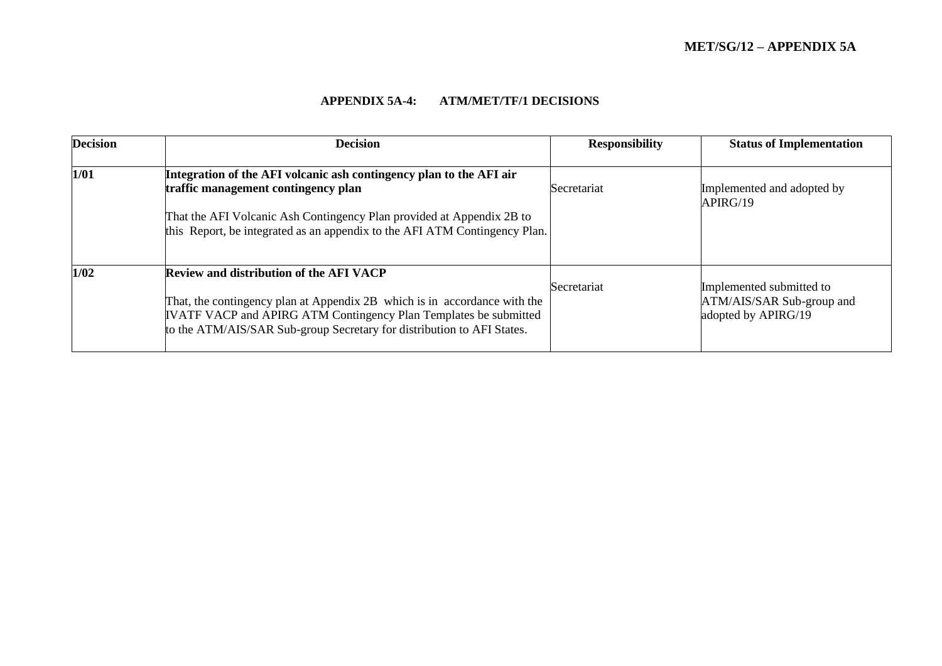## **APPENDIX 5A-4: ATM/MET/TF/1 DECISIONS**

| <b>Decision</b> | <b>Decision</b>                                                                                                                                                                                                                                                           | <b>Responsibility</b> | <b>Status of Implementation</b>                                              |
|-----------------|---------------------------------------------------------------------------------------------------------------------------------------------------------------------------------------------------------------------------------------------------------------------------|-----------------------|------------------------------------------------------------------------------|
| 1/01            | Integration of the AFI volcanic ash contingency plan to the AFI air<br>traffic management contingency plan<br>That the AFI Volcanic Ash Contingency Plan provided at Appendix 2B to<br>this Report, be integrated as an appendix to the AFI ATM Contingency Plan.         | <b>Secretariat</b>    | Implemented and adopted by<br>APIRG/19                                       |
| 1/02            | <b>Review and distribution of the AFI VACP</b><br>That, the contingency plan at Appendix 2B which is in accordance with the<br>IVATF VACP and APIRG ATM Contingency Plan Templates be submitted<br>to the ATM/AIS/SAR Sub-group Secretary for distribution to AFI States. | Secretariat           | Implemented submitted to<br>ATM/AIS/SAR Sub-group and<br>adopted by APIRG/19 |